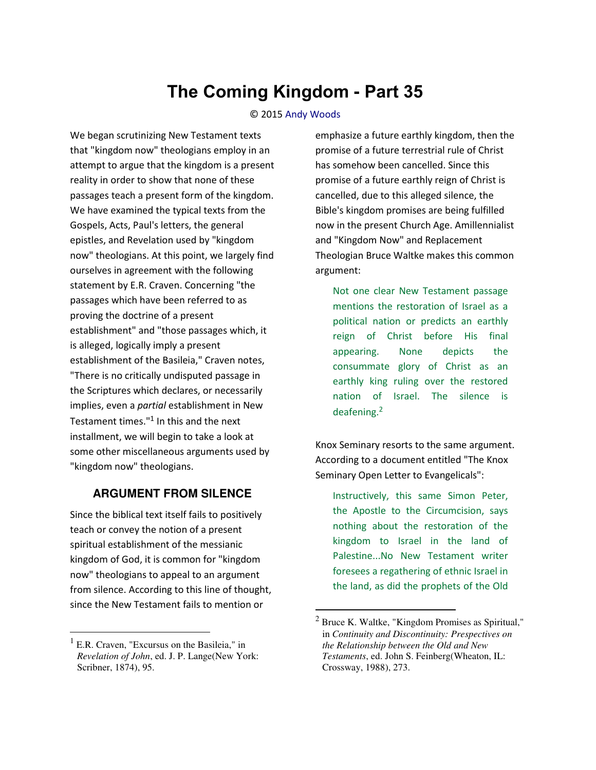# **The Coming Kingdom - Part 35**

#### © 2015 [Andy Woods](http://www.spiritandtruth.org/id/aw.htm)

We began scrutinizing New Testament texts that "kingdom now" theologians employ in an attempt to argue that the kingdom is a present reality in order to show that none of these passages teach a present form of the kingdom. We have examined the typical texts from the Gospels, Acts, Paul's letters, the general epistles, and Revelation used by "kingdom now" theologians. At this point, we largely find ourselves in agreement with the following statement by E.R. Craven. Concerning "the passages which have been referred to as proving the doctrine of a present establishment" and "those passages which, it is alleged, logically imply a present establishment of the Basileia," Craven notes, "There is no critically undisputed passage in the Scriptures which declares, or necessarily implies, even a *partial* establishment in New Testament times."<sup>1</sup> In this and the next installment, we will begin to take a look at some other miscellaneous arguments used by "kingdom now" theologians.

### **ARGUMENT FROM SILENCE**

Since the biblical text itself fails to positively teach or convey the notion of a present spiritual establishment of the messianic kingdom of God, it is common for "kingdom now" theologians to appeal to an argument from silence. According to this line of thought, since the New Testament fails to mention or

l

emphasize a future earthly kingdom, then the promise of a future terrestrial rule of Christ has somehow been cancelled. Since this promise of a future earthly reign of Christ is cancelled, due to this alleged silence, the Bible's kingdom promises are being fulfilled now in the present Church Age. Amillennialist and "Kingdom Now" and Replacement Theologian Bruce Waltke makes this common argument:

Not one clear New Testament passage mentions the restoration of Israel as a political nation or predicts an earthly reign of Christ before His final appearing. None depicts the consummate glory of Christ as an earthly king ruling over the restored nation of Israel. The silence is deafening.<sup>2</sup>

Knox Seminary resorts to the same argument. According to a document entitled "The Knox Seminary Open Letter to Evangelicals":

Instructively, this same Simon Peter, the Apostle to the Circumcision, says nothing about the restoration of the kingdom to Israel in the land of Palestine...No New Testament writer foresees a regathering of ethnic Israel in the land, as did the prophets of the Old

l

<sup>&</sup>lt;sup>1</sup> E.R. Craven, "Excursus on the Basileia," in *Revelation of John*, ed. J. P. Lange(New York: Scribner, 1874), 95.

 $2^2$  Bruce K. Waltke, "Kingdom Promises as Spiritual," in *Continuity and Discontinuity: Prespectives on the Relationship between the Old and New Testaments*, ed. John S. Feinberg(Wheaton, IL: Crossway, 1988), 273.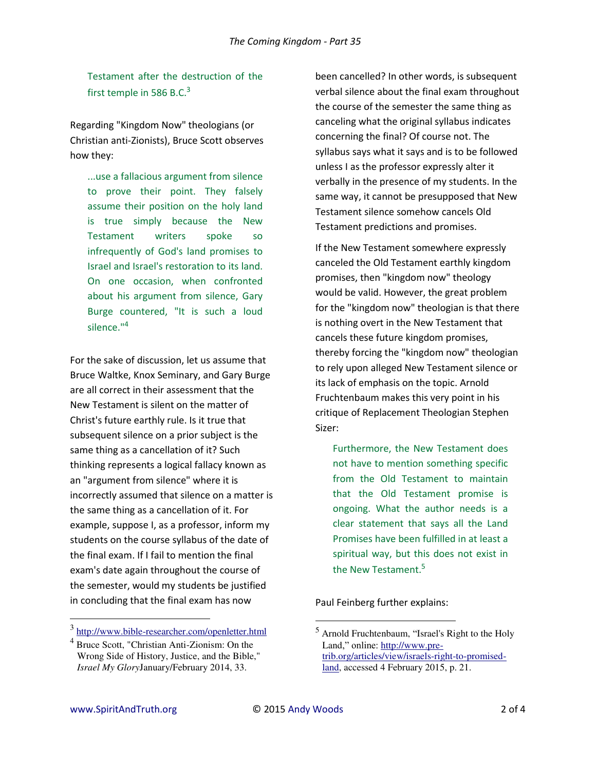Testament after the destruction of the first temple in 586 B.C.<sup>3</sup>

Regarding "Kingdom Now" theologians (or Christian anti-Zionists), Bruce Scott observes how they:

...use a fallacious argument from silence to prove their point. They falsely assume their position on the holy land is true simply because the New Testament writers spoke so infrequently of God's land promises to Israel and Israel's restoration to its land. On one occasion, when confronted about his argument from silence, Gary Burge countered, "It is such a loud silence.<sup>"4</sup>

For the sake of discussion, let us assume that Bruce Waltke, Knox Seminary, and Gary Burge are all correct in their assessment that the New Testament is silent on the matter of Christ's future earthly rule. Is it true that subsequent silence on a prior subject is the same thing as a cancellation of it? Such thinking represents a logical fallacy known as an "argument from silence" where it is incorrectly assumed that silence on a matter is the same thing as a cancellation of it. For example, suppose I, as a professor, inform my students on the course syllabus of the date of the final exam. If I fail to mention the final exam's date again throughout the course of the semester, would my students be justified in concluding that the final exam has now

been cancelled? In other words, is subsequent verbal silence about the final exam throughout the course of the semester the same thing as canceling what the original syllabus indicates concerning the final? Of course not. The syllabus says what it says and is to be followed unless I as the professor expressly alter it verbally in the presence of my students. In the same way, it cannot be presupposed that New Testament silence somehow cancels Old Testament predictions and promises.

If the New Testament somewhere expressly canceled the Old Testament earthly kingdom promises, then "kingdom now" theology would be valid. However, the great problem for the "kingdom now" theologian is that there is nothing overt in the New Testament that cancels these future kingdom promises, thereby forcing the "kingdom now" theologian to rely upon alleged New Testament silence or its lack of emphasis on the topic. Arnold Fruchtenbaum makes this very point in his critique of Replacement Theologian Stephen Sizer:

Furthermore, the New Testament does not have to mention something specific from the Old Testament to maintain that the Old Testament promise is ongoing. What the author needs is a clear statement that says all the Land Promises have been fulfilled in at least a spiritual way, but this does not exist in the New Testament.<sup>5</sup>

Paul Feinberg further explains:

l

 $\overline{a}$ 

<sup>&</sup>lt;sup>3</sup> http://www.bible-researcher.com/openletter.html

<sup>4</sup> Bruce Scott, "Christian Anti-Zionism: On the Wrong Side of History, Justice, and the Bible," *Israel My Glory*January/February 2014, 33.

<sup>&</sup>lt;sup>5</sup> Arnold Fruchtenbaum, "Israel's Right to the Holy Land," online: [http://www.pre](http://www.pre-trib.org/articles/view/israels-right-to-promised-land)[trib.org/articles/view/israels-right-to-promised](http://www.pre-trib.org/articles/view/israels-right-to-promised-land)[land,](http://www.pre-trib.org/articles/view/israels-right-to-promised-land) accessed 4 February 2015, p. 21.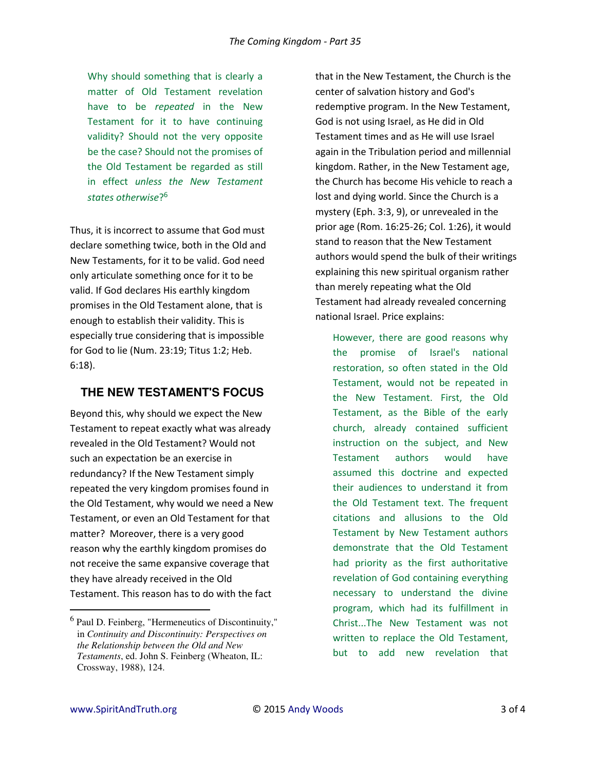Why should something that is clearly a matter of Old Testament revelation have to be *repeated* in the New Testament for it to have continuing validity? Should not the very opposite be the case? Should not the promises of the Old Testament be regarded as still in effect *unless the New Testament states otherwise*? 6

Thus, it is incorrect to assume that God must declare something twice, both in the Old and New Testaments, for it to be valid. God need only articulate something once for it to be valid. If God declares His earthly kingdom promises in the Old Testament alone, that is enough to establish their validity. This is especially true considering that is impossible for God to lie (Num. 23:19; Titus 1:2; Heb. 6:18).

## **THE NEW TESTAMENT'S FOCUS**

Beyond this, why should we expect the New Testament to repeat exactly what was already revealed in the Old Testament? Would not such an expectation be an exercise in redundancy? If the New Testament simply repeated the very kingdom promises found in the Old Testament, why would we need a New Testament, or even an Old Testament for that matter? Moreover, there is a very good reason why the earthly kingdom promises do not receive the same expansive coverage that they have already received in the Old Testament. This reason has to do with the fact

that in the New Testament, the Church is the center of salvation history and God's redemptive program. In the New Testament, God is not using Israel, as He did in Old Testament times and as He will use Israel again in the Tribulation period and millennial kingdom. Rather, in the New Testament age, the Church has become His vehicle to reach a lost and dying world. Since the Church is a mystery (Eph. 3:3, 9), or unrevealed in the prior age (Rom. 16:25-26; Col. 1:26), it would stand to reason that the New Testament authors would spend the bulk of their writings explaining this new spiritual organism rather than merely repeating what the Old Testament had already revealed concerning national Israel. Price explains:

However, there are good reasons why the promise of Israel's national restoration, so often stated in the Old Testament, would not be repeated in the New Testament. First, the Old Testament, as the Bible of the early church, already contained sufficient instruction on the subject, and New Testament authors would have assumed this doctrine and expected their audiences to understand it from the Old Testament text. The frequent citations and allusions to the Old Testament by New Testament authors demonstrate that the Old Testament had priority as the first authoritative revelation of God containing everything necessary to understand the divine program, which had its fulfillment in Christ...The New Testament was not written to replace the Old Testament, but to add new revelation that

l

<sup>6</sup> Paul D. Feinberg, "Hermeneutics of Discontinuity," in *Continuity and Discontinuity: Perspectives on the Relationship between the Old and New Testaments*, ed. John S. Feinberg (Wheaton, IL: Crossway, 1988), 124.